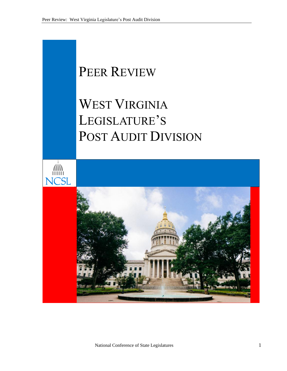# PEER REVIEW

# WEST VIRGINIA LEGISLATURE'S POST AUDIT DIVISION

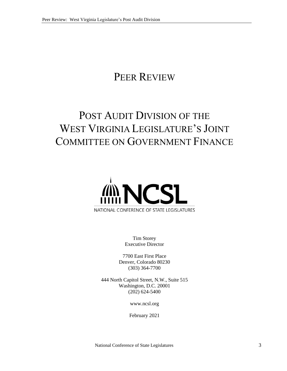## PEER REVIEW

## POST AUDIT DIVISION OF THE WEST VIRGINIA LEGISLATURE'S JOINT COMMITTEE ON GOVERNMENT FINANCE



Tim Storey Executive Director

7700 East First Place Denver, Colorado 80230 (303) 364-7700

444 North Capitol Street, N.W., Suite 515 Washington, D.C. 20001 (202) 624-5400

www.ncsl.org

February 2021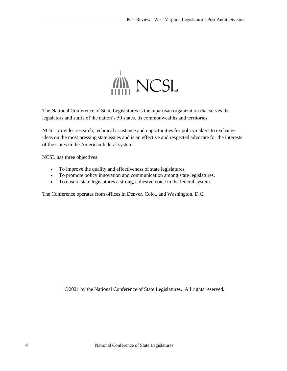

The National Conference of State Legislatures is the bipartisan organization that serves the legislators and staffs of the nation's 50 states, its commonwealths and territories.

NCSL provides research, technical assistance and opportunities for policymakers to exchange ideas on the most pressing state issues and is an effective and respected advocate for the interests of the states in the American federal system.

NCSL has three objectives:

- To improve the quality and effectiveness of state legislatures.
- To promote policy innovation and communication among state legislatures.
- To ensure state legislatures a strong, cohesive voice in the federal system.

The Conference operates from offices in Denver, Colo., and Washington, D.C.

©2021 by the National Conference of State Legislatures. All rights reserved.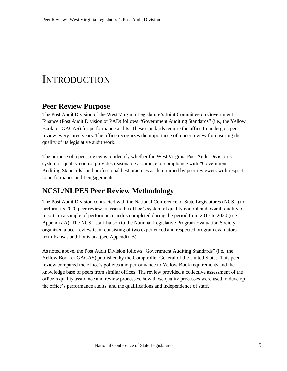#### INTRODUCTION

#### **Peer Review Purpose**

The Post Audit Division of the West Virginia Legislature's Joint Committee on Government Finance (Post Audit Division or PAD) follows "Government Auditing Standards" (i.e., the Yellow Book, or GAGAS) for performance audits. These standards require the office to undergo a peer review every three years. The office recognizes the importance of a peer review for ensuring the quality of its legislative audit work.

The purpose of a peer review is to identify whether the West Virginia Post Audit Division's system of quality control provides reasonable assurance of compliance with "Government Auditing Standards" and professional best practices as determined by peer reviewers with respect to performance audit engagements.

#### **NCSL/NLPES Peer Review Methodology**

The Post Audit Division contracted with the National Conference of State Legislatures (NCSL) to perform its 2020 peer review to assess the office's system of quality control and overall quality of reports in a sample of performance audits completed during the period from 2017 to 2020 (see Appendix A). The NCSL staff liaison to the National Legislative Program Evaluation Society organized a peer review team consisting of two experienced and respected program evaluators from Kansas and Louisiana (see Appendix B).

As noted above, the Post Audit Division follows "Government Auditing Standards" (i.e., the Yellow Book or GAGAS) published by the Comptroller General of the United States. This peer review compared the office's policies and performance to Yellow Book requirements and the knowledge base of peers from similar offices. The review provided a collective assessment of the office's quality assurance and review processes, how those quality processes were used to develop the office's performance audits, and the qualifications and independence of staff.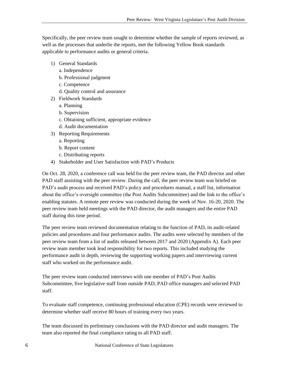Specifically, the peer review team sought to determine whether the sample of reports reviewed, as well as the processes that underlie the reports, met the following Yellow Book standards applicable to performance audits or general criteria.

- 1) General Standards
	- a. Independence
	- b. Professional judgment
	- c. Competence
	- d. Quality control and assurance
- 2) Fieldwork Standards
	- a. Planning
	- b. Supervision
	- c. Obtaining sufficient, appropriate evidence
	- d. Audit documentation
- 3) Reporting Requirements
	- a. Reporting
	- b. Report content
	- c. Distributing reports
- 4) Stakeholder and User Satisfaction with PAD's Products

On Oct. 28, 2020, a conference call was held for the peer review team, the PAD director and other PAD staff assisting with the peer review. During the call, the peer review team was briefed on PAD's audit process and received PAD's policy and procedures manual, a staff list, information about the office's oversight committee (the Post Audits Subcommittee) and the link to the office's enabling statutes. A remote peer review was conducted during the week of Nov. 16-20, 2020. The peer review team held meetings with the PAD director, the audit managers and the entire PAD staff during this time period.

The peer review team reviewed documentation relating to the function of PAD, its audit-related policies and procedures and four performance audits. The audits were selected by members of the peer review team from a list of audits released between 2017 and 2020 (Appendix A). Each peer review team member took lead responsibility for two reports. This included studying the performance audit in depth, reviewing the supporting working papers and interviewing current staff who worked on the performance audit.

The peer review team conducted interviews with one member of PAD's Post Audits Subcommittee, five legislative staff from outside PAD, PAD office managers and selected PAD staff.

To evaluate staff competence, continuing professional education (CPE) records were reviewed to determine whether staff receive 80 hours of training every two years.

The team discussed its preliminary conclusions with the PAD director and audit managers. The team also reported the final compliance rating to all PAD staff.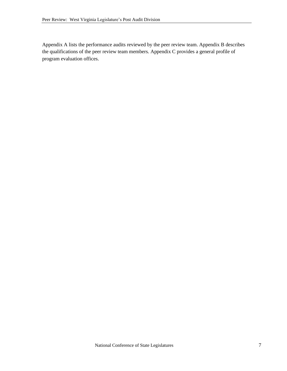Appendix A lists the performance audits reviewed by the peer review team. Appendix B describes the qualifications of the peer review team members. Appendix C provides a general profile of program evaluation offices.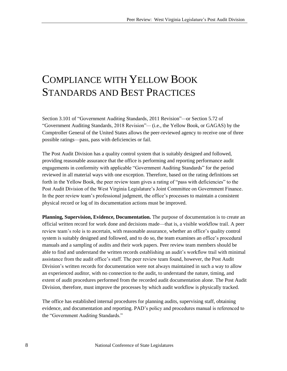### COMPLIANCE WITH YELLOW BOOK STANDARDS AND BEST PRACTICES

Section 3.101 of "Government Auditing Standards, 2011 Revision"*—*or Section 5.72 of "Government Auditing Standards*,* 2018 Revision"*—* (i.e., the Yellow Book, or GAGAS) by the Comptroller General of the United States allows the peer-reviewed agency to receive one of three possible ratings—pass, pass with deficiencies or fail.

The Post Audit Division has a quality control system that is suitably designed and followed, providing reasonable assurance that the office is performing and reporting performance audit engagements in conformity with applicable "Government Auditing Standards" for the period reviewed in all material ways with one exception. Therefore, based on the rating definitions set forth in the Yellow Book, the peer review team gives a rating of "pass with deficiencies" to the Post Audit Division of the West Virginia Legislature's Joint Committee on Government Finance. In the peer review team's professional judgment, the office's processes to maintain a consistent physical record or log of its documentation actions must be improved.

**Planning, Supervision, Evidence, Documentation.** The purpose of documentation is to create an official written record for work done and decisions made—that is, a visible workflow trail. A peer review team's role is to ascertain, with reasonable assurance, whether an office's quality control system is suitably designed and followed, and to do so, the team examines an office's procedural manuals and a sampling of audits and their work papers. Peer review team members should be able to find and understand the written records establishing an audit's workflow trail with minimal assistance from the audit office's staff. The peer review team found, however, the Post Audit Division's written records for documentation were not always maintained in such a way to allow an experienced auditor, with no connection to the audit, to understand the nature, timing, and extent of audit procedures performed from the recorded audit documentation alone. The Post Audit Division, therefore, must improve the processes by which audit workflow is physically tracked.

The office has established internal procedures for planning audits, supervising staff, obtaining evidence, and documentation and reporting. PAD's policy and procedures manual is referenced to the "Government Auditing Standards."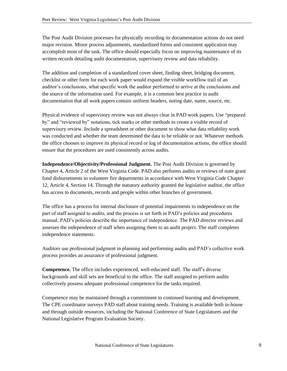The Post Audit Division processes for physically recording its documentation actions do not need major revision. Minor process adjustments, standardized forms and consistent application may accomplish most of the task. The office should especially focus on improving maintenance of its written records detailing audit documentation, supervisory review and data reliability.

The addition and completion of a standardized cover sheet, finding sheet, bridging document, checklist or other form for each work paper would expand the visible workflow trail of an auditor's conclusions, what specific work the auditor performed to arrive at the conclusions and the source of the information used. For example, it is a common best practice in audit documentation that all work papers contain uniform headers, noting date, name, source, etc.

Physical evidence of supervisory review was not always clear in PAD work papers. Use "prepared by" and "reviewed by" notations, tick marks or other methods to create a visible record of supervisory review. Include a spreadsheet or other document to show what data reliability work was conducted and whether the team determined the data to be reliable or not. Whatever methods the office chooses to improve its physical record or log of documentation actions, the office should ensure that the procedures are used consistently across audits.

**Independence/Objectivity/Professional Judgment.** The Post Audit Division is governed by Chapter 4, Article 2 of the West Virginia Code. PAD also performs audits or reviews of state grant fund disbursements to volunteer fire departments in accordance with West Virginia Code Chapter 12, Article 4, Section 14. Through the statutory authority granted the legislative auditor, the office has access to documents, records and people within other branches of government.

The office has a process for internal disclosure of potential impairments to independence on the part of staff assigned to audits, and the process is set forth in PAD's policies and procedures manual. PAD's policies describe the importance of independence. The PAD director reviews and assesses the independence of staff when assigning them to an audit project. The staff completes independence statements.

Auditors use professional judgment in planning and performing audits and PAD's collective work process provides an assurance of professional judgment.

**Competence.** The office includes experienced, well-educated staff. The staff's diverse backgrounds and skill sets are beneficial to the office. The staff assigned to perform audits collectively possess adequate professional competence for the tasks required.

Competence may be maintained through a commitment to continued learning and development. The CPE coordinator surveys PAD staff about training needs. Training is available both in-house and through outside resources, including the National Conference of State Legislatures and the National Legislative Program Evaluation Society.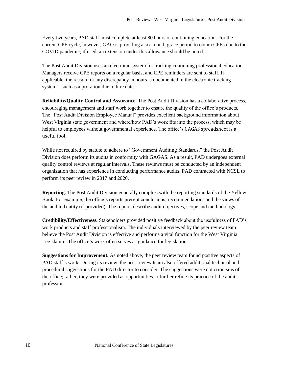Every two years, PAD staff must complete at least 80 hours of continuing education. For the current CPE cycle, however, GAO is providing a six-month grace period to obtain CPEs due to the COVID pandemic; if used, an extension under this allowance should be noted.

The Post Audit Division uses an electronic system for tracking continuing professional education. Managers receive CPE reports on a regular basis, and CPE reminders are sent to staff. If applicable, the reason for any discrepancy in hours is documented in the electronic tracking system—such as a proration due to hire date.

**Reliability/Quality Control and Assurance.** The Post Audit Division has a collaborative process, encouraging management and staff work together to ensure the quality of the office's products. The "Post Audit Division Employee Manual" provides excellent background information about West Virginia state government and where/how PAD's work fits into the process, which may be helpful to employees without governmental experience. The office's GAGAS spreadsheet is a useful tool.

While not required by statute to adhere to "Government Auditing Standards," the Post Audit Division does perform its audits in conformity with GAGAS. As a result, PAD undergoes external quality control reviews at regular intervals. These reviews must be conducted by an independent organization that has experience in conducting performance audits. PAD contracted with NCSL to perform its peer review in 2017 and 2020.

**Reporting.** The Post Audit Division generally complies with the reporting standards of the Yellow Book. For example, the office's reports present conclusions, recommendations and the views of the audited entity (if provided). The reports describe audit objectives, scope and methodology.

**Credibility/Effectiveness.** Stakeholders provided positive feedback about the usefulness of PAD's work products and staff professionalism. The individuals interviewed by the peer review team believe the Post Audit Division is effective and performs a vital function for the West Virginia Legislature. The office's work often serves as guidance for legislation.

**Suggestions for Improvement.** As noted above, the peer review team found positive aspects of PAD staff's work. During its review, the peer review team also offered additional technical and procedural suggestions for the PAD director to consider. The suggestions were not criticisms of the office; rather, they were provided as opportunities to further refine its practice of the audit profession.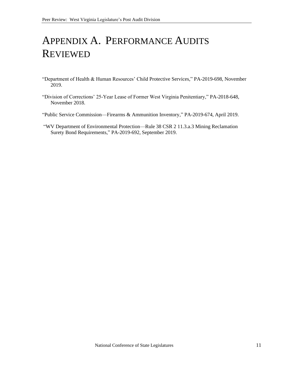### APPENDIX A. PERFORMANCE AUDITS REVIEWED

- "Department of Health & Human Resources' Child Protective Services," PA-2019-698, November 2019.
- "Division of Corrections' 25-Year Lease of Former West Virginia Penitentiary," PA-2018-648, November 2018.
- "Public Service Commission—Firearms & Ammunition Inventory," PA-2019-674, April 2019.
- "WV Department of Environmental Protection—Rule 38 CSR 2 11.3.a.3 Mining Reclamation Surety Bond Requirements," PA-2019-692, September 2019.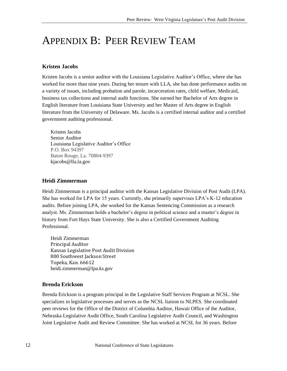### APPENDIX B: PEER REVIEW TEAM

#### **Kristen Jacobs**

Kristen Jacobs is a senior auditor with the Louisiana Legislative Auditor's Office, where she has worked for more than nine years. During her tenure with LLA, she has done performance audits on a variety of issues, including probation and parole, incarceration rates, child welfare, Medicaid, business tax collections and internal audit functions. She earned her Bachelor of Arts degree in English literature from Louisiana State University and her Master of Arts degree in English literature from the University of Delaware. Ms. Jacobs is a certified internal auditor and a certified government auditing professional.

Kristen Jacobs Senior Auditor Louisiana Legislative Auditor's Office P.O. Box 94397 Baton Rouge, La. 70804-9397 kjacobs@lla.la.gov

#### **Heidi Zimmerman**

Heidi Zimmerman is a principal auditor with the Kansas Legislative Division of Post Audit (LPA). She has worked for LPA for 15 years. Currently, she primarily supervises LPA's K-12 education audits. Before joining LPA, she worked for the Kansas Sentencing Commission as a research analyst. Ms. Zimmerman holds a bachelor's degree in political science and a master's degree in history from Fort Hays State University. She is also a Certified Government Auditing Professional.

Heidi Zimmerman Principal Auditor Kansas Legislative Post Audit Division 800 Southwest Jackson Street Topeka, Kan. 66612 heidi.zimmerman@lpa.ks.gov

#### **Brenda Erickson**

Brenda Erickson is a program principal in the Legislative Staff Services Program at NCSL. She specializes in legislative processes and serves as the NCSL liaison to NLPES. She coordinated peer reviews for the Office of the District of Columbia Auditor, Hawaii Office of the Auditor, Nebraska Legislative Audit Office, South Carolina Legislative Audit Council, and Washington Joint Legislative Audit and Review Committee. She has worked at NCSL for 36 years. Before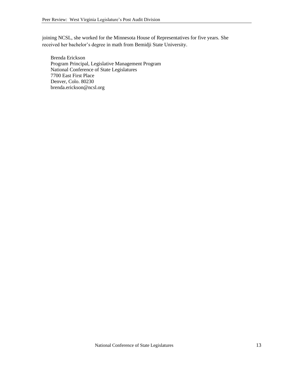joining NCSL, she worked for the Minnesota House of Representatives for five years. She received her bachelor's degree in math from Bemidji State University.

Brenda Erickson Program Principal, Legislative Management Program National Conference of State Legislatures 7700 East First Place Denver, Colo. 80230 brenda.erickson@ncsl.org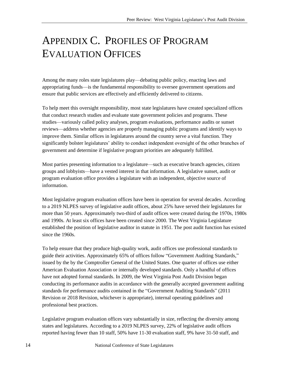### APPENDIX C. PROFILES OF PROGRAM EVALUATION OFFICES

Among the many roles state legislatures play—debating public policy, enacting laws and appropriating funds—is the fundamental responsibility to oversee government operations and ensure that public services are effectively and efficiently delivered to citizens.

To help meet this oversight responsibility, most state legislatures have created specialized offices that conduct research studies and evaluate state government policies and programs. These studies—variously called policy analyses, program evaluations, performance audits or sunset reviews—address whether agencies are properly managing public programs and identify ways to improve them. Similar offices in legislatures around the country serve a vital function. They significantly bolster legislatures' ability to conduct independent oversight of the other branches of government and determine if legislative program priorities are adequately fulfilled.

Most parties presenting information to a legislature—such as executive branch agencies, citizen groups and lobbyists—have a vested interest in that information. A legislative sunset, audit or program evaluation office provides a legislature with an independent, objective source of information.

Most legislative program evaluation offices have been in operation for several decades. According to a 2019 NLPES survey of legislative audit offices, about 25% have served their legislatures for more than 50 years. Approximately two-third of audit offices were created during the 1970s, 1980s and 1990s. At least six offices have been created since 2000. The West Virginia Legislature established the position of legislative auditor in statute in 1951. The post audit function has existed since the 1960s.

To help ensure that they produce high-quality work, audit offices use professional standards to guide their activities. Approximately 65% of offices follow "Government Auditing Standards," issued by the by the Comptroller General of the United States. One quarter of offices use either American Evaluation Association or internally developed standards. Only a handful of offices have not adopted formal standards. In 2009, the West Virginia Post Audit Division began conducting its performance audits in accordance with the generally accepted government auditing standards for performance audits contained in the "Government Auditing Standards" (2011 Revision or 2018 Revision, whichever is appropriate), internal operating guidelines and professional best practices.

Legislative program evaluation offices vary substantially in size, reflecting the diversity among states and legislatures. According to a 2019 NLPES survey, 22% of legislative audit offices reported having fewer than 10 staff, 50% have 11-30 evaluation staff, 9% have 31-50 staff, and